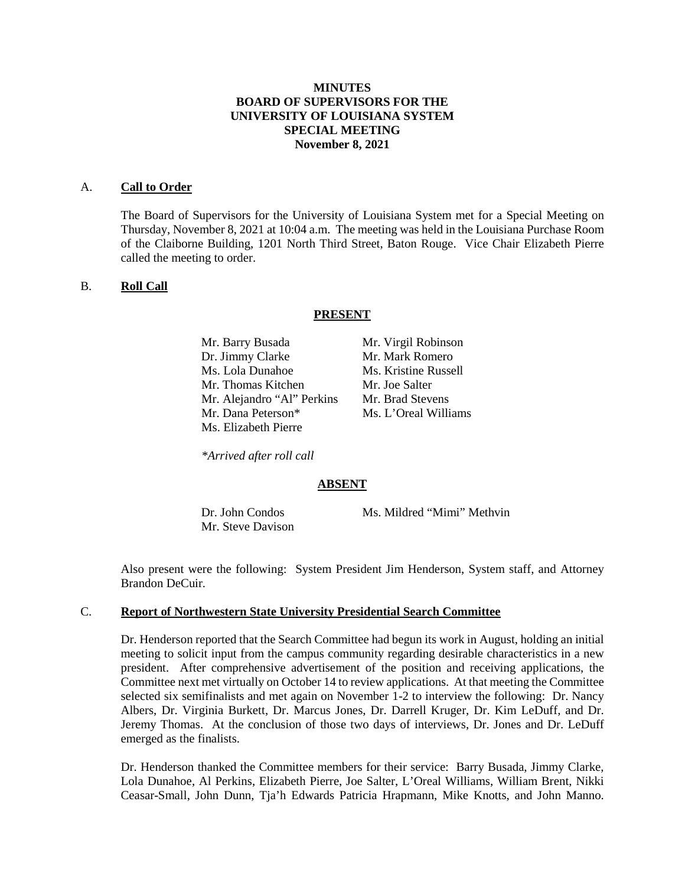# **MINUTES BOARD OF SUPERVISORS FOR THE UNIVERSITY OF LOUISIANA SYSTEM SPECIAL MEETING November 8, 2021**

#### A. **Call to Order**

The Board of Supervisors for the University of Louisiana System met for a Special Meeting on Thursday, November 8, 2021 at 10:04 a.m. The meeting was held in the Louisiana Purchase Room of the Claiborne Building, 1201 North Third Street, Baton Rouge. Vice Chair Elizabeth Pierre called the meeting to order.

### B. **Roll Call**

#### **PRESENT**

| Mr. Barry Busada           | Mr. Virgil Robinson  |
|----------------------------|----------------------|
| Dr. Jimmy Clarke           | Mr. Mark Romero      |
| Ms. Lola Dunahoe           | Ms. Kristine Russell |
| Mr. Thomas Kitchen         | Mr. Joe Salter       |
| Mr. Alejandro "Al" Perkins | Mr. Brad Stevens     |
| Mr. Dana Peterson*         | Ms. L'Oreal Williams |
| Ms. Elizabeth Pierre       |                      |

*\*Arrived after roll call*

### **ABSENT**

Mr. Steve Davison

Dr. John Condos Ms. Mildred "Mimi" Methvin

Also present were the following: System President Jim Henderson, System staff, and Attorney Brandon DeCuir.

#### C. **Report of Northwestern State University Presidential Search Committee**

Dr. Henderson reported that the Search Committee had begun its work in August, holding an initial meeting to solicit input from the campus community regarding desirable characteristics in a new president. After comprehensive advertisement of the position and receiving applications, the Committee next met virtually on October 14 to review applications. At that meeting the Committee selected six semifinalists and met again on November 1-2 to interview the following: Dr. Nancy Albers, Dr. Virginia Burkett, Dr. Marcus Jones, Dr. Darrell Kruger, Dr. Kim LeDuff, and Dr. Jeremy Thomas. At the conclusion of those two days of interviews, Dr. Jones and Dr. LeDuff emerged as the finalists.

Dr. Henderson thanked the Committee members for their service: Barry Busada, Jimmy Clarke, Lola Dunahoe, Al Perkins, Elizabeth Pierre, Joe Salter, L'Oreal Williams, William Brent, Nikki Ceasar-Small, John Dunn, Tja'h Edwards Patricia Hrapmann, Mike Knotts, and John Manno.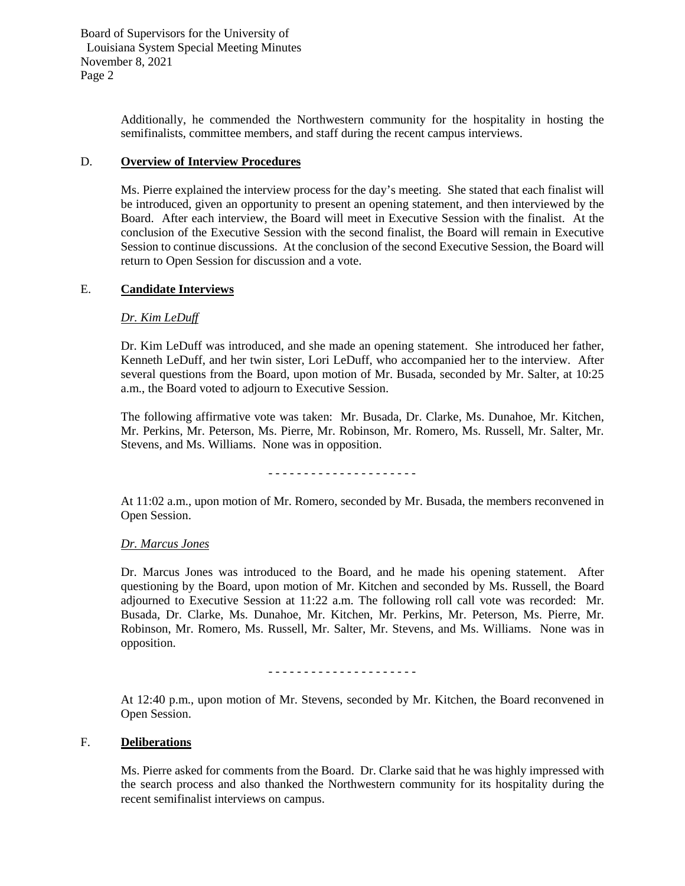Board of Supervisors for the University of Louisiana System Special Meeting Minutes November 8, 2021 Page 2

> Additionally, he commended the Northwestern community for the hospitality in hosting the semifinalists, committee members, and staff during the recent campus interviews.

## D. **Overview of Interview Procedures**

Ms. Pierre explained the interview process for the day's meeting. She stated that each finalist will be introduced, given an opportunity to present an opening statement, and then interviewed by the Board. After each interview, the Board will meet in Executive Session with the finalist. At the conclusion of the Executive Session with the second finalist, the Board will remain in Executive Session to continue discussions. At the conclusion of the second Executive Session, the Board will return to Open Session for discussion and a vote.

## E. **Candidate Interviews**

### *Dr. Kim LeDuff*

Dr. Kim LeDuff was introduced, and she made an opening statement. She introduced her father, Kenneth LeDuff, and her twin sister, Lori LeDuff, who accompanied her to the interview. After several questions from the Board, upon motion of Mr. Busada, seconded by Mr. Salter, at 10:25 a.m., the Board voted to adjourn to Executive Session.

The following affirmative vote was taken: Mr. Busada, Dr. Clarke, Ms. Dunahoe, Mr. Kitchen, Mr. Perkins, Mr. Peterson, Ms. Pierre, Mr. Robinson, Mr. Romero, Ms. Russell, Mr. Salter, Mr. Stevens, and Ms. Williams. None was in opposition.

- - - - - - - - - - - - - - - - - - - - -

At 11:02 a.m., upon motion of Mr. Romero, seconded by Mr. Busada, the members reconvened in Open Session.

### *Dr. Marcus Jones*

Dr. Marcus Jones was introduced to the Board, and he made his opening statement. After questioning by the Board, upon motion of Mr. Kitchen and seconded by Ms. Russell, the Board adjourned to Executive Session at 11:22 a.m. The following roll call vote was recorded: Mr. Busada, Dr. Clarke, Ms. Dunahoe, Mr. Kitchen, Mr. Perkins, Mr. Peterson, Ms. Pierre, Mr. Robinson, Mr. Romero, Ms. Russell, Mr. Salter, Mr. Stevens, and Ms. Williams. None was in opposition.

- - - - - - - - - - - - - - - - - - - - -

At 12:40 p.m., upon motion of Mr. Stevens, seconded by Mr. Kitchen, the Board reconvened in Open Session.

### F. **Deliberations**

Ms. Pierre asked for comments from the Board. Dr. Clarke said that he was highly impressed with the search process and also thanked the Northwestern community for its hospitality during the recent semifinalist interviews on campus.